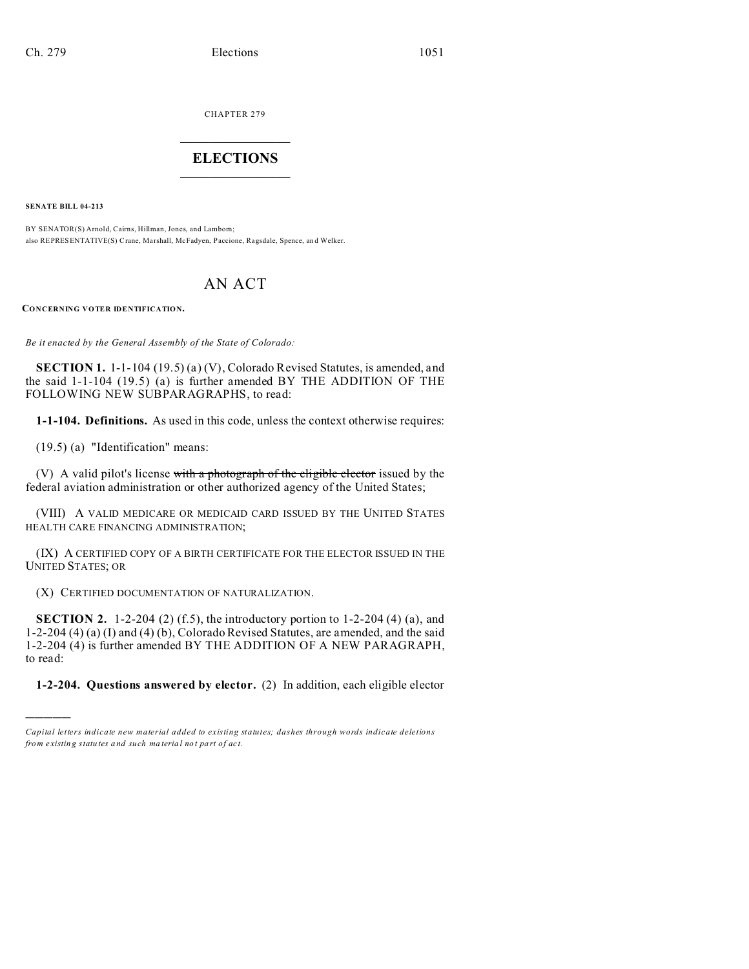CHAPTER 279  $\overline{\phantom{a}}$  , where  $\overline{\phantom{a}}$ 

## **ELECTIONS**  $\_$

**SENATE BILL 04-213**

)))))

BY SENATOR(S) Arnold, Cairns, Hillman, Jones, and Lamborn; also REPRESENTATIVE(S) Crane, Ma rshall, McFadyen, Paccione, Ragsdale, Spence, an d Welker.

## AN ACT

**CONCERNING VOTER IDENTIFICATION.**

*Be it enacted by the General Assembly of the State of Colorado:*

**SECTION 1.** 1-1-104 (19.5) (a) (V), Colorado Revised Statutes, is amended, and the said 1-1-104 (19.5) (a) is further amended BY THE ADDITION OF THE FOLLOWING NEW SUBPARAGRAPHS, to read:

**1-1-104. Definitions.** As used in this code, unless the context otherwise requires:

(19.5) (a) "Identification" means:

(V) A valid pilot's license with a photograph of the eligible elector issued by the federal aviation administration or other authorized agency of the United States;

(VIII) A VALID MEDICARE OR MEDICAID CARD ISSUED BY THE UNITED STATES HEALTH CARE FINANCING ADMINISTRATION;

(IX) A CERTIFIED COPY OF A BIRTH CERTIFICATE FOR THE ELECTOR ISSUED IN THE UNITED STATES; OR

(X) CERTIFIED DOCUMENTATION OF NATURALIZATION.

**SECTION 2.** 1-2-204 (2) (f.5), the introductory portion to 1-2-204 (4) (a), and 1-2-204 (4) (a) (I) and (4) (b), Colorado Revised Statutes, are amended, and the said 1-2-204 (4) is further amended BY THE ADDITION OF A NEW PARAGRAPH, to read:

**1-2-204. Questions answered by elector.** (2) In addition, each eligible elector

*Capital letters indicate new material added to existing statutes; dashes through words indicate deletions from e xistin g statu tes a nd such ma teria l no t pa rt of ac t.*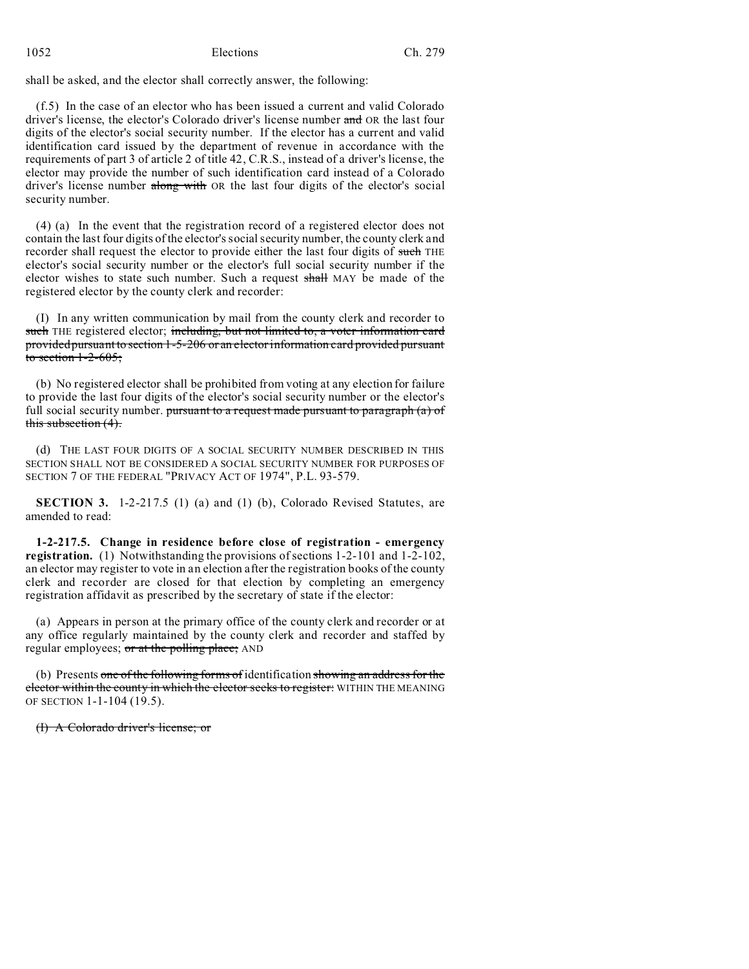shall be asked, and the elector shall correctly answer, the following:

(f.5) In the case of an elector who has been issued a current and valid Colorado driver's license, the elector's Colorado driver's license number and OR the last four digits of the elector's social security number. If the elector has a current and valid identification card issued by the department of revenue in accordance with the requirements of part 3 of article 2 of title 42, C.R.S., instead of a driver's license, the elector may provide the number of such identification card instead of a Colorado driver's license number along with OR the last four digits of the elector's social security number.

(4) (a) In the event that the registration record of a registered elector does not contain the last four digits of the elector's social security number, the county clerk and recorder shall request the elector to provide either the last four digits of such THE elector's social security number or the elector's full social security number if the elector wishes to state such number. Such a request shall MAY be made of the registered elector by the county clerk and recorder:

(I) In any written communication by mail from the county clerk and recorder to such THE registered elector; including, but not limited to, a voter information card provided pursuant to section 1-5-206 or an elector information card provided pursuant to section  $1-2-605$ ;

(b) No registered elector shall be prohibited from voting at any election for failure to provide the last four digits of the elector's social security number or the elector's full social security number. pursuant to a request made pursuant to paragraph  $(a)$  of this subsection  $(4)$ .

(d) THE LAST FOUR DIGITS OF A SOCIAL SECURITY NUMBER DESCRIBED IN THIS SECTION SHALL NOT BE CONSIDERED A SOCIAL SECURITY NUMBER FOR PURPOSES OF SECTION 7 OF THE FEDERAL "PRIVACY ACT OF 1974", P.L. 93-579.

**SECTION 3.** 1-2-217.5 (1) (a) and (1) (b), Colorado Revised Statutes, are amended to read:

**1-2-217.5. Change in residence before close of registration - emergency registration.** (1) Notwithstanding the provisions of sections 1-2-101 and 1-2-102, an elector may register to vote in an election after the registration books of the county clerk and recorder are closed for that election by completing an emergency registration affidavit as prescribed by the secretary of state if the elector:

(a) Appears in person at the primary office of the county clerk and recorder or at any office regularly maintained by the county clerk and recorder and staffed by regular employees; or at the polling place; AND

(b) Presents one of the following forms of identification showing an address for the elector within the county in which the elector seeks to register: WITHIN THE MEANING OF SECTION 1-1-104 (19.5).

(I) A Colorado driver's license; or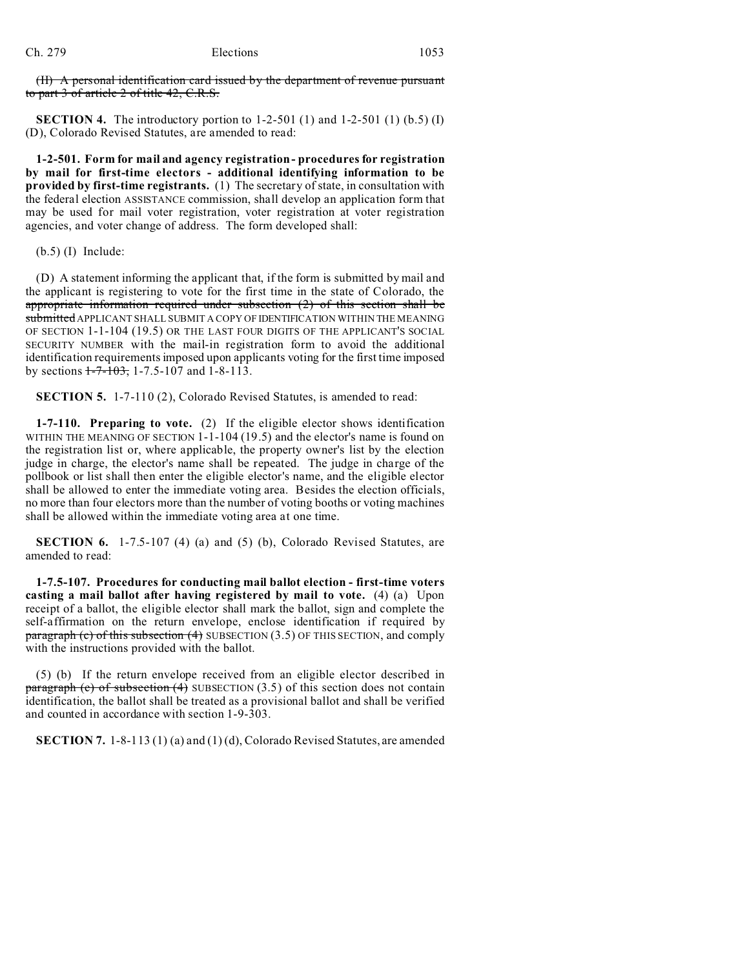(II) A personal identification card issued by the department of revenue pursuant to part 3 of article 2 of title 42, C.R.S.

**SECTION 4.** The introductory portion to 1-2-501 (1) and 1-2-501 (1) (b.5) (I) (D), Colorado Revised Statutes, are amended to read:

**1-2-501. Form for mail and agency registration - procedures for registration by mail for first-time electors - additional identifying information to be provided by first-time registrants.** (1) The secretary of state, in consultation with the federal election ASSISTANCE commission, shall develop an application form that may be used for mail voter registration, voter registration at voter registration agencies, and voter change of address. The form developed shall:

(b.5) (I) Include:

(D) A statement informing the applicant that, if the form is submitted by mail and the applicant is registering to vote for the first time in the state of Colorado, the appropriate information required under subsection (2) of this section shall be submitted APPLICANT SHALL SUBMIT A COPY OF IDENTIFICATION WITHIN THE MEANING OF SECTION 1-1-104 (19.5) OR THE LAST FOUR DIGITS OF THE APPLICANT'S SOCIAL SECURITY NUMBER with the mail-in registration form to avoid the additional identification requirements imposed upon applicants voting for the first time imposed by sections  $1-7-103$ , 1-7.5-107 and 1-8-113.

**SECTION 5.** 1-7-110 (2), Colorado Revised Statutes, is amended to read:

**1-7-110. Preparing to vote.** (2) If the eligible elector shows identification WITHIN THE MEANING OF SECTION 1-1-104 (19.5) and the elector's name is found on the registration list or, where applicable, the property owner's list by the election judge in charge, the elector's name shall be repeated. The judge in charge of the pollbook or list shall then enter the eligible elector's name, and the eligible elector shall be allowed to enter the immediate voting area. Besides the election officials, no more than four electors more than the number of voting booths or voting machines shall be allowed within the immediate voting area at one time.

**SECTION 6.** 1-7.5-107 (4) (a) and (5) (b), Colorado Revised Statutes, are amended to read:

**1-7.5-107. Procedures for conducting mail ballot election - first-time voters casting a mail ballot after having registered by mail to vote.** (4) (a) Upon receipt of a ballot, the eligible elector shall mark the ballot, sign and complete the self-affirmation on the return envelope, enclose identification if required by paragraph (c) of this subsection (4) SUBSECTION  $(3.5)$  OF THIS SECTION, and comply with the instructions provided with the ballot.

(5) (b) If the return envelope received from an eligible elector described in **paragraph (c) of subsection (4)** SUBSECTION  $(3.5)$  of this section does not contain identification, the ballot shall be treated as a provisional ballot and shall be verified and counted in accordance with section 1-9-303.

**SECTION 7.** 1-8-113 (1) (a) and (1) (d), Colorado Revised Statutes, are amended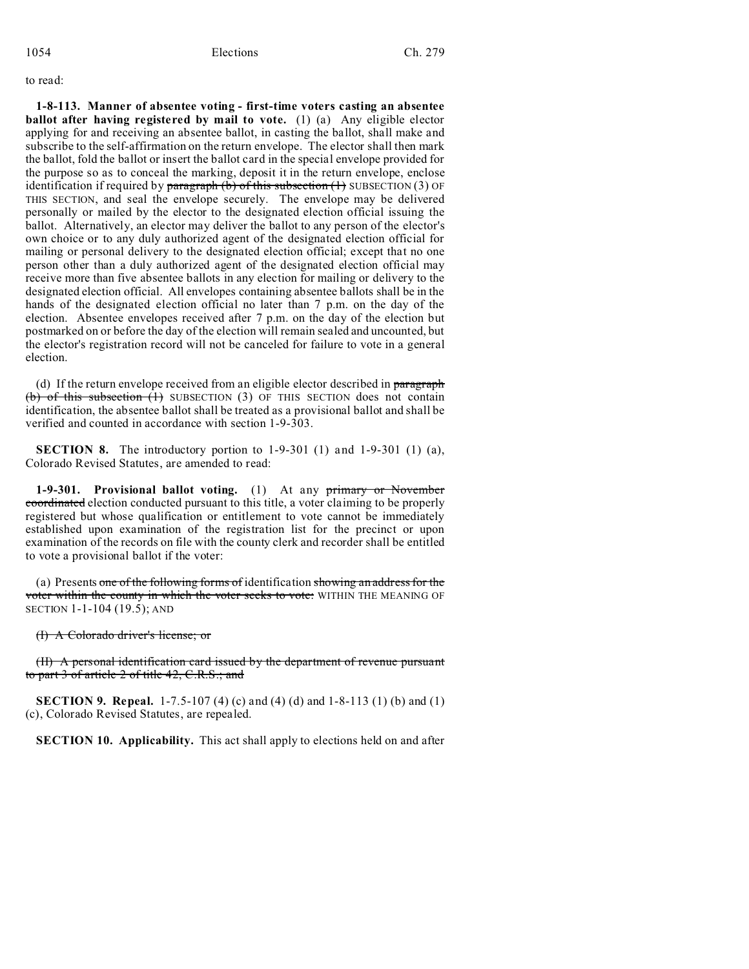to read:

**1-8-113. Manner of absentee voting - first-time voters casting an absentee ballot after having registered by mail to vote.** (1) (a) Any eligible elector applying for and receiving an absentee ballot, in casting the ballot, shall make and subscribe to the self-affirmation on the return envelope. The elector shall then mark the ballot, fold the ballot or insert the ballot card in the special envelope provided for the purpose so as to conceal the marking, deposit it in the return envelope, enclose identification if required by paragraph  $(b)$  of this subsection  $(1)$  SUBSECTION  $(3)$  OF THIS SECTION, and seal the envelope securely. The envelope may be delivered personally or mailed by the elector to the designated election official issuing the ballot. Alternatively, an elector may deliver the ballot to any person of the elector's own choice or to any duly authorized agent of the designated election official for mailing or personal delivery to the designated election official; except that no one person other than a duly authorized agent of the designated election official may receive more than five absentee ballots in any election for mailing or delivery to the designated election official. All envelopes containing absentee ballots shall be in the hands of the designated election official no later than 7 p.m. on the day of the election. Absentee envelopes received after 7 p.m. on the day of the election but postmarked on or before the day of the election will remain sealed and uncounted, but the elector's registration record will not be canceled for failure to vote in a general election.

(d) If the return envelope received from an eligible elector described in paragraph (b) of this subsection  $(1)$  SUBSECTION (3) OF THIS SECTION does not contain identification, the absentee ballot shall be treated as a provisional ballot and shall be verified and counted in accordance with section 1-9-303.

**SECTION 8.** The introductory portion to 1-9-301 (1) and 1-9-301 (1) (a), Colorado Revised Statutes, are amended to read:

**1-9-301. Provisional ballot voting.** (1) At any primary or November coordinated election conducted pursuant to this title, a voter claiming to be properly registered but whose qualification or entitlement to vote cannot be immediately established upon examination of the registration list for the precinct or upon examination of the records on file with the county clerk and recorder shall be entitled to vote a provisional ballot if the voter:

(a) Presents one of the following forms of identification showing an address for the voter within the county in which the voter seeks to vote: WITHIN THE MEANING OF SECTION 1-1-104 (19.5); AND

(I) A Colorado driver's license; or

(II) A personal identification card issued by the department of revenue pursuant to part 3 of article 2 of title 42, C.R.S.; and

**SECTION 9. Repeal.** 1-7.5-107 (4) (c) and (4) (d) and 1-8-113 (1) (b) and (1) (c), Colorado Revised Statutes, are repealed.

**SECTION 10. Applicability.** This act shall apply to elections held on and after